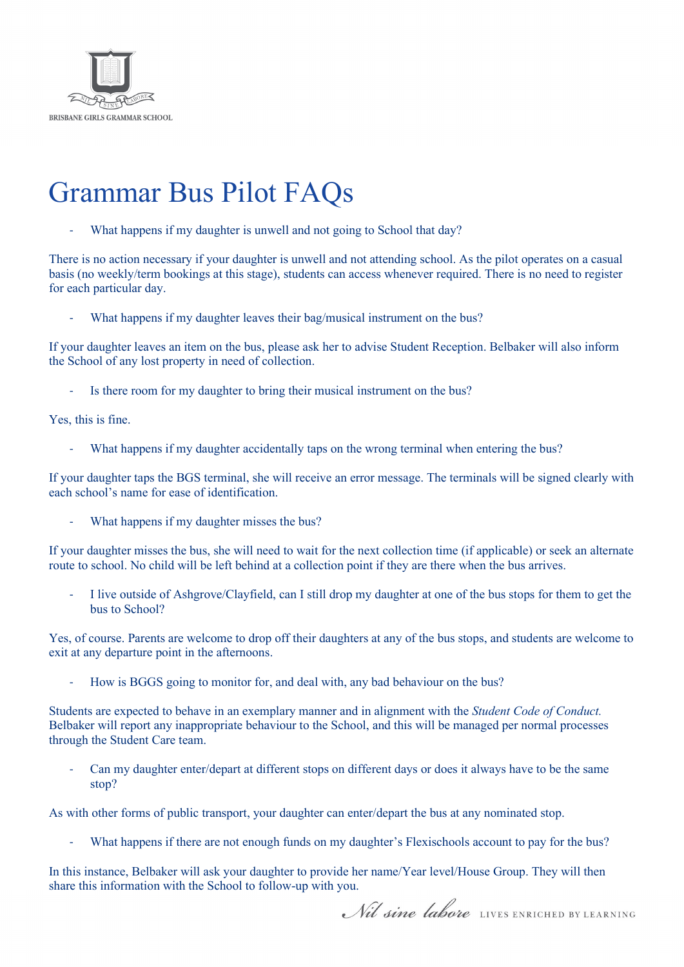

## Grammar Bus Pilot FAQs

What happens if my daughter is unwell and not going to School that day?

There is no action necessary if your daughter is unwell and not attending school. As the pilot operates on a casual basis (no weekly/term bookings at this stage), students can access whenever required. There is no need to register for each particular day.

What happens if my daughter leaves their bag/musical instrument on the bus?

If your daughter leaves an item on the bus, please ask her to advise Student Reception. Belbaker will also inform the School of any lost property in need of collection.

Is there room for my daughter to bring their musical instrument on the bus?

Yes, this is fine.

What happens if my daughter accidentally taps on the wrong terminal when entering the bus?

If your daughter taps the BGS terminal, she will receive an error message. The terminals will be signed clearly with each school's name for ease of identification.

What happens if my daughter misses the bus?

If your daughter misses the bus, she will need to wait for the next collection time (if applicable) or seek an alternate route to school. No child will be left behind at a collection point if they are there when the bus arrives.

- I live outside of Ashgrove/Clayfield, can I still drop my daughter at one of the bus stops for them to get the bus to School?

Yes, of course. Parents are welcome to drop off their daughters at any of the bus stops, and students are welcome to exit at any departure point in the afternoons.

How is BGGS going to monitor for, and deal with, any bad behaviour on the bus?

Students are expected to behave in an exemplary manner and in alignment with the *Student Code of Conduct.*  Belbaker will report any inappropriate behaviour to the School, and this will be managed per normal processes through the Student Care team.

Can my daughter enter/depart at different stops on different days or does it always have to be the same stop?

As with other forms of public transport, your daughter can enter/depart the bus at any nominated stop.

What happens if there are not enough funds on my daughter's Flexischools account to pay for the bus?

In this instance, Belbaker will ask your daughter to provide her name/Year level/House Group. They will then share this information with the School to follow-up with you.

Nil sine labore LIVES ENRICHED BY LEARNING